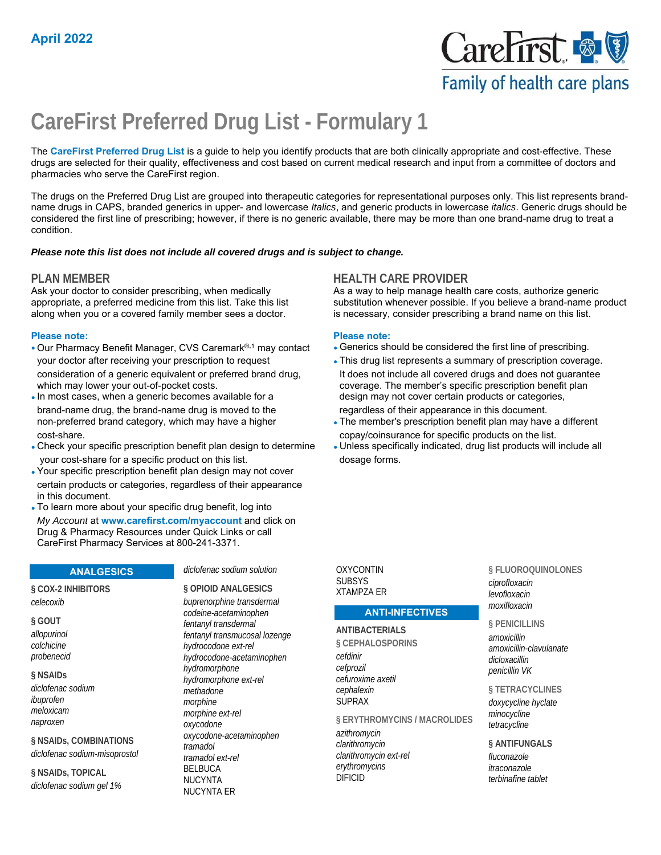

# **CareFirst Preferred Drug List - Formulary 1**

The **CareFirst Preferred Drug List** is a guide to help you identify products that are both clinically appropriate and cost-effective. These drugs are selected for their quality, effectiveness and cost based on current medical research and input from a committee of doctors and pharmacies who serve the CareFirst region.

The drugs on the Preferred Drug List are grouped into therapeutic categories for representational purposes only. This list represents brandname drugs in CAPS, branded generics in upper- and lowercase *Italics*, and generic products in lowercase *italics*. Generic drugs should be considered the first line of prescribing; however, if there is no generic available, there may be more than one brand-name drug to treat a condition.

#### *Please note this list does not include all covered drugs and is subject to change.*

Ask your doctor to consider prescribing, when medically appropriate, a preferred medicine from this list. Take this list along when you or a covered family member sees a doctor.

#### **Please note: Please note:**

- Our Pharmacy Benefit Manager, CVS Caremark<sup>®,1</sup> may contact Generics should be considered the first line of prescribing.
- consideration of a generic equivalent or preferred brand drug, which may lower your out-of-pocket costs. coverage. The member's specific prescription benefit plan
- brand-name drug, the brand-name drug is moved to the regardless of their appearance in this document.
- Check your specific prescription benefit plan design to determine your cost-share for a specific product on this list. The manner of dosage forms.
- Your specific prescription benefit plan design may not cover certain products or categories, regardless of their appearance in this document.
- To learn more about your specific drug benefit, log into *My Account* at **www.carefirst.com/myaccount** and click on Drug & Pharmacy Resources under Quick Links or call CareFirst Pharmacy Services at 800-241-3371.

# **ANALGESICS**

#### **§ COX-2 INHIBITORS**  *celecoxib*

**§ GOUT**  *allopurinol colchicine probenecid*

#### **§ NSAIDs**  *diclofenac sodium ibuprofen meloxicam naproxen*

**§ NSAIDs, COMBINATIONS**  *diclofenac sodium-misoprostol*

**§ NSAIDs, TOPICAL**  *diclofenac sodium gel 1%*

#### *diclofenac sodium solution*

**§ OPIOID ANALGESICS**  *buprenorphine transdermal codeine-acetaminophen fentanyl transdermal fentanyl transmucosal lozenge hydrocodone ext-rel hydrocodone-acetaminophen hydromorphone hydromorphone ext-rel methadone morphine morphine ext-rel oxycodone oxycodone-acetaminophen tramadol tramadol ext-rel* BELBUCA NUCYNTA NUCYNTA ER

# **PLAN MEMBER HEALTH CARE PROVIDER**

As a way to help manage health care costs, authorize generic substitution whenever possible. If you believe a brand-name product is necessary, consider prescribing a brand name on this list.

- 
- 
- your doctor after receiving your prescription to request **•** This drug list represents a summary of prescription coverage.<br>
consideration of a generic equivalent or preferred brand drug, but does not include all covered dr • In most cases, when a generic becomes available for a design may not cover certain products or categories,
- non-preferred brand category, which may have a higher The member's prescription benefit plan may have a different
- cost-share.<br>Check your specific prescription benefit plan design to determine values specifically indicated, drug list products will include all

#### OXYCONTIN **SUBSYS** XTAMPZA ER

#### **ANTI-INFECTIVES**

#### **ANTIBACTERIALS**

**§ CEPHALOSPORINS**  *cefdinir cefprozil cefuroxime axetil cephalexin* SUPRAX

#### **§ ERYTHROMYCINS / MACROLIDES**

*azithromycin clarithromycin clarithromycin ext-rel erythromycins* DIFICID

**§ FLUOROQUINOLONES**  *ciprofloxacin levofloxacin moxifloxacin*

#### **§ PENICILLINS**

*amoxicillin amoxicillin-clavulanate dicloxacillin penicillin VK*

#### **§ TETRACYCLINES**

*doxycycline hyclate minocycline tetracycline*

#### **§ ANTIFUNGALS**

*fluconazole itraconazole terbinafine tablet*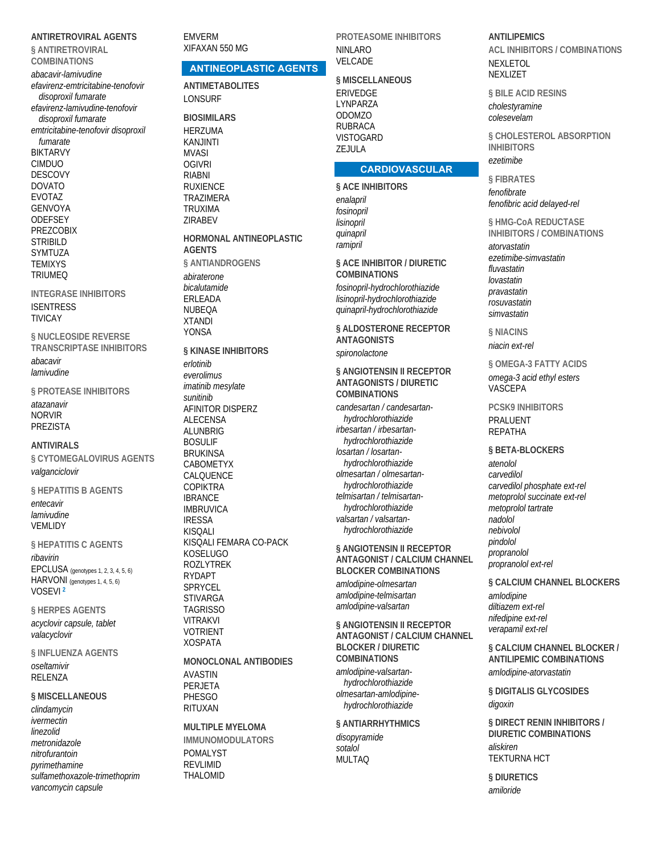**ANTIRETROVIRAL AGENTS § ANTIRETROVIRAL COMBINATIONS**  *abacavir-lamivudine efavirenz-emtricitabine-tenofovir disoproxil fumarate efavirenz-lamivudine-tenofovir disoproxil fumarate emtricitabine-tenofovir disoproxil fumarate* BIKTARVY CIMDUO DESCOVY DOVATO EVOTAZ GENVOYA **ODEFSEY** PREZCOBIX **STRIBILD** SYMTUZA **TEMIXYS** TRIUMEQ

**INTEGRASE INHIBITORS**  ISENTRESS TIVICAY

**§ NUCLEOSIDE REVERSE TRANSCRIPTASE INHIBITORS**  *abacavir lamivudine*

**§ PROTEASE INHIBITORS**  *atazanavir* NORVIR PREZISTA

#### **ANTIVIRALS**

**§ CYTOMEGALOVIRUS AGENTS**  *valganciclovir*

**§ HEPATITIS B AGENTS**  *entecavir lamivudine* **VEMLIDY** 

**§ HEPATITIS C AGENTS** 

*ribavirin* EPCLUSA (genotypes 1, 2, 3, 4, 5, 6) HARVONI (genotypes 1, 4, 5, 6) VOSEVI **<sup>2</sup>**

**§ HERPES AGENTS**  *acyclovir capsule, tablet valacyclovir*

**§ INFLUENZA AGENTS**  *oseltamivir* RELENZA

**§ MISCELLANEOUS** 

*clindamycin ivermectin linezolid metronidazole nitrofurantoin pyrimethamine sulfamethoxazole-trimethoprim vancomycin capsule*

EMVERM XIFAXAN 550 MG

# **ANTINEOPLASTIC AGENTS**

**ANTIMETABOLITES**  LONSURF

**BIOSIMILARS**  HERZUMA KANJINTI MVASI **OGIVRI** RIABNI RUXIENCE TRAZIMERA TRUXIMA ZIRABEV

**HORMONAL ANTINEOPLASTIC AGENTS § ANTIANDROGENS**  *abiraterone bicalutamide* ERLEADA NUBEQA XTANDI YONSA

**§ KINASE INHIBITORS**  *erlotinib everolimus imatinib mesylate sunitinib* AFINITOR DISPERZ ALECENSA ALUNBRIG BOSULIF BRUKINSA CABOMETYX CALQUENCE COPIKTRA IBRANCE IMBRUVICA IRESSA **KISOALI** KISQALI FEMARA CO-PACK KOSELUGO ROZLYTREK RYDAPT SPRYCEL STIVARGA TAGRISSO VITRAKVI VOTRIENT XOSPATA **MONOCLONAL ANTIBODIES** 

AVASTIN PERJETA **PHESGO** RITUXAN

**MULTIPLE MYELOMA IMMUNOMODULATORS**  POMALYST REVLIMID THALOMID

**PROTEASOME INHIBITORS**  NINLARO VELCADE

#### **§ MISCELLANEOUS**

ERIVEDGE LYNPARZA ODOMZO RUBRACA **VISTOGARD** ZEJULA

#### **CARDIOVASCULAR**

**§ ACE INHIBITORS**  *enalapril fosinopril lisinopril quinapril ramipril*

**§ ACE INHIBITOR / DIURETIC COMBINATIONS**  *fosinopril-hydrochlorothiazide lisinopril-hydrochlorothiazide quinapril-hydrochlorothiazide*

**§ ALDOSTERONE RECEPTOR ANTAGONISTS**  *spironolactone*

**§ ANGIOTENSIN II RECEPTOR ANTAGONISTS / DIURETIC COMBINATIONS** 

*candesartan / candesartanhydrochlorothiazide irbesartan / irbesartanhydrochlorothiazide losartan / losartanhydrochlorothiazide olmesartan / olmesartanhydrochlorothiazide telmisartan / telmisartanhydrochlorothiazide valsartan / valsartanhydrochlorothiazide*

**§ ANGIOTENSIN II RECEPTOR ANTAGONIST / CALCIUM CHANNEL BLOCKER COMBINATIONS** 

*amlodipine-olmesartan amlodipine-telmisartan amlodipine-valsartan*

**§ ANGIOTENSIN II RECEPTOR ANTAGONIST / CALCIUM CHANNEL BLOCKER / DIURETIC COMBINATIONS** 

*amlodipine-valsartanhydrochlorothiazide olmesartan-amlodipinehydrochlorothiazide*

#### **§ ANTIARRHYTHMICS**

*disopyramide sotalol* MULTAO

**ANTILIPEMICS ACL INHIBITORS / COMBINATIONS**  NEXLETOL NEXLIZET

**§ BILE ACID RESINS**  *cholestyramine*

*colesevelam*

**§ CHOLESTEROL ABSORPTION INHIBITORS**  *ezetimibe*

**§ FIBRATES**  *fenofibrate fenofibric acid delayed-rel*

**§ HMG-CoA REDUCTASE INHIBITORS / COMBINATIONS**  *atorvastatin ezetimibe-simvastatin fluvastatin lovastatin pravastatin rosuvastatin simvastatin*

**§ NIACINS**  *niacin ext-rel*

**§ OMEGA-3 FATTY ACIDS**  *omega-3 acid ethyl esters* VASCEPA

**PCSK9 INHIBITORS**  PRALUENT

REPATHA

**§ BETA-BLOCKERS** 

*atenolol carvedilol carvedilol phosphate ext-rel metoprolol succinate ext-rel metoprolol tartrate nadolol nebivolol pindolol propranolol propranolol ext-rel*

**§ CALCIUM CHANNEL BLOCKERS**  *amlodipine diltiazem ext-rel nifedipine ext-rel verapamil ext-rel*

**§ CALCIUM CHANNEL BLOCKER / ANTILIPEMIC COMBINATIONS**  *amlodipine-atorvastatin*

**§ DIGITALIS GLYCOSIDES**  *digoxin*

**§ DIRECT RENIN INHIBITORS / DIURETIC COMBINATIONS**  *aliskiren* TEKTURNA HCT

**§ DIURETICS**  *amiloride*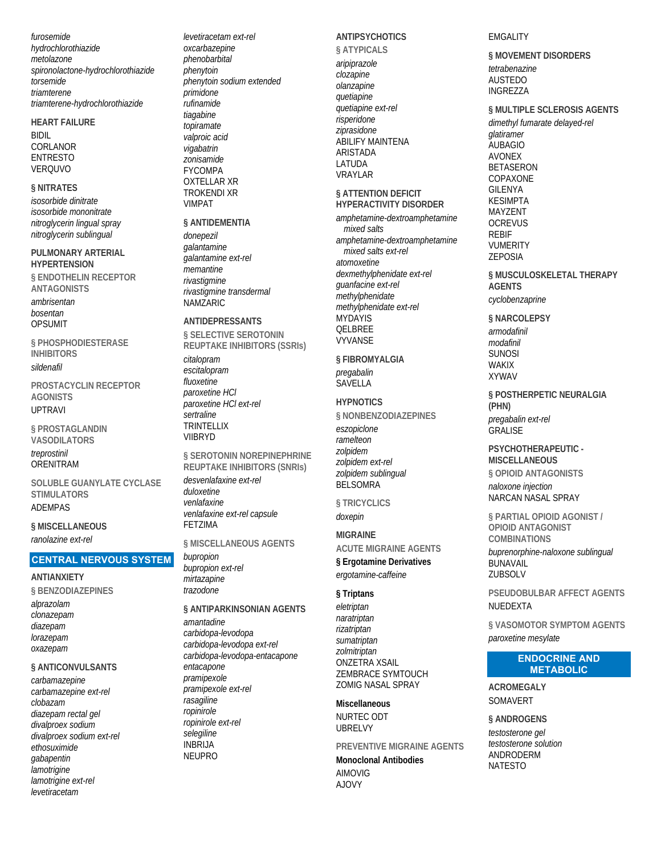furosemide hydrochlorothiazide metolazone spironolactone-hydrochlorothiazide torsemide triamterene triamterene-hydrochlorothiazide

**HEART FAILURE BIDIL** 

CORLANOR **FNTRESTO VEROUVO** 

#### **§ NITRATES**

isosorbide dinitrate isosorbide mononitrate nitroglycerin lingual spray nitroglycerin sublingual

PULMONARY ARTERIAL **HYPERTENSION** 

**§ ENDOTHEL IN RECEPTOR ANTAGONISTS** 

ambrisentan bosentan **OPSUMIT** 

**§ PHOSPHODIESTERASE INHIBITORS** sildenafil

PROSTACYCLIN RECEPTOR **AGONISTS UPTRAVI** 

§ PROSTAGLANDIN **VASODILATORS** treprostinil

**ORENITRAM** 

SOLUBLE GUANYLATE CYCLASE **STIMULATORS ADFMPAS** 

§ MISCELLANEOUS ranolazine ext-rel

#### **CENTRAL NERVOUS SYSTEM**

#### **ANTIANXIETY**

§ BENZODIAZEPINES alprazolam clonazepam diazepam lorazepam oxazepam

#### § ANTICONVULSANTS

carbamazepine carbamazepine ext-rel clobazam diazepam rectal gel divalproex sodium divalproex sodium ext-rel ethosuximide gabapentin lamotrigine lamotrigine ext-rel levetiracetam

levetiracetam ext-rel oxcarbazepine phenobarbital phenytoin phenytoin sodium extended *primidone rufinamide* tiagabine topiramate valproic acid vigabatrin zonisamide **FYCOMPA OXTELLAR XR TROKENDI XR VIMPAT** 

#### **§ ANTIDEMENTIA**

donepezil galantamine c<br>galantamine ext-rel memantine rivastigmine rivastigmine transdermal NAMZARIC

#### ANTIDEPRESSANTS

§ SELECTIVE SEROTONIN **REUPTAKE INHIBITORS (SSRIS)** citalopram

escitalopram fluoxetine paroxetine HCI paroxetine HCI ext-rel sertraline **TRINTFI I IX VIIBRYD** 

§ SEROTONIN NOREPINEPHRINE **REUPTAKE INHIBITORS (SNRIS)** desvenlafaxine ext-rel duloxetine venlafaxine venlafaxine ext-rel capsule **FETZIMA** 

#### § MISCELLANEOUS AGENTS

bupropion bupropion ext-rel mirtazapine trazodone

## § ANTIPARKINSONIAN AGENTS

amantadine carbidopa-levodopa carbidopa-levodopa ext-rel carbidopa-levodopa-entacapone entacapone pramipexole pramipexole ext-rel rasagiline ropinirole ropinirole ext-rel selegiline **INBRIJA NEUPRO** 

# **ANTIPSYCHOTICS**

§ ATYPICALS aripiprazole clozapine olanzapine quetiapine quetiapine ext-rel risperidone ziprasidone ABILIFY MAINTENA **ARISTADA LATUDA VRAYLAR** 

#### § ATTENTION DEFICIT **HYPERACTIVITY DISORDER**

amphetamine-dextroamphetamine mixed salts amphetamine-dextroamphetamine mixed salts ext-rel atomoxetine dexmethylphenidate ext-rel quanfacine ext-rel methylphenidate methylphenidate ext-rel **MYDAYIS** OFI BRFF **VYVANSE** 

#### § FIBROMYALGIA pregabalin

SAVELLA

#### **HYPNOTICS** § NONBENZODIAZEPINES

eszopiclone ramelteon zolpidem zolpidem ext-rel zolpidem sublingual **BELSOMRA** 

§ TRICYCLICS doxepin

# **MIGRAINE**

**ACUTE MIGRAINE AGENTS** 

§ Ergotamine Derivatives ergotamine-caffeine

## § Triptans

eletriptan naratriptan rizatriptan sumatriptan zolmitriptan **ONZETRA XSAIL ZEMBRACE SYMTOUCH ZOMIG NASAL SPRAY** 

#### **Miscellaneous** NURTEC ODT **URRELVY**

PREVENTIVE MIGRAINE AGENTS

#### **Monoclonal Antibodies AIMOVIG AJOVY**

#### **EMGALITY**

§ MOVEMENT DISORDERS tetrabenazine **AUSTEDO** INGREZZA

§ MULTIPLE SCLEROSIS AGENTS

dimethyl fumarate delayed-rel glatiramer **AUBAGIO AVONEX BETASERON** COPAXONE **GILENYA KFSIMPTA** MAY7FNT **OCREVUS REBIF VUMERITY ZEPOSIA** 

§ MUSCULOSKELETAL THERAPY **AGENTS** cyclobenzaprine

#### § NARCOLEPSY

armodafinil modafinil **SUNOSI WAKIX XYWAV** 

§ POSTHERPETIC NEURAL GIA (PHN) pregabalin ext-rel **GRALISE** 

# PSYCHOTHERAPEUTIC -**MISCELLANEOUS**

§ OPIOID ANTAGONISTS naloxone injection

NARCAN NASAL SPRAY

§ PARTIAL OPIOID AGONIST / **OPIOID ANTAGONIST COMBINATIONS** 

buprenorphine-naloxone sublingual **BUNAVAIL** ZUBSOLV

### PSEUDOBULBAR AFFECT AGENTS NUEDEXTA

§ VASOMOTOR SYMPTOM AGENTS paroxetine mesylate

#### **ENDOCRINE AND METABOLIC**

**ACROMEGALY** SOMAVERT

§ ANDROGENS

testosterone gel testosterone solution ANDRODERM **NATESTO**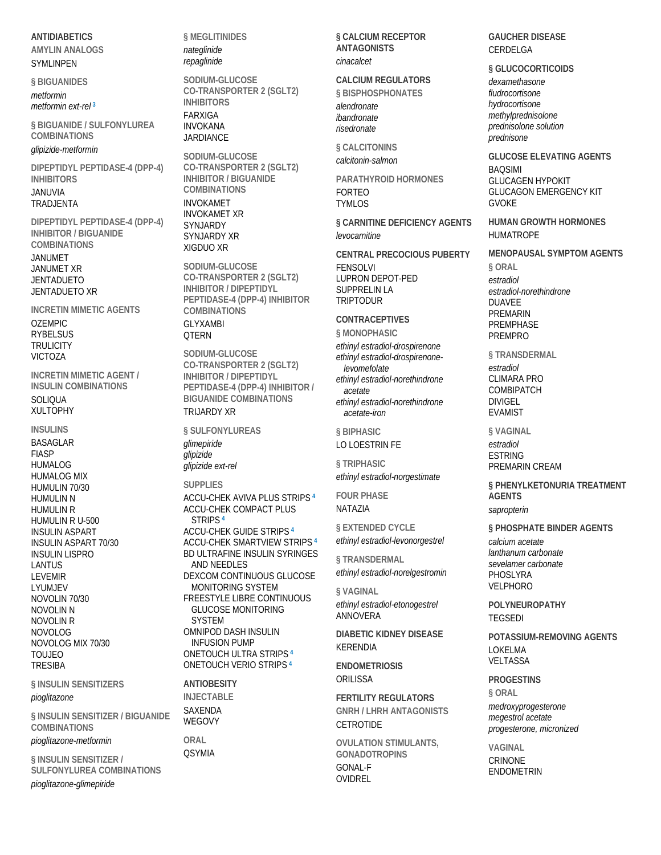# **ANTIDIABETICS AMYLIN ANALOGS**

SYMLINPEN

**§ BIGUANIDES**  *metformin metformin ext-rel* **<sup>3</sup>**

**§ BIGUANIDE / SULFONYLUREA COMBINATIONS** 

*glipizide-metformin*

**DIPEPTIDYL PEPTIDASE-4 (DPP-4) INHIBITORS**  JANUVIA TRADJENTA

**DIPEPTIDYL PEPTIDASE-4 (DPP-4) INHIBITOR / BIGUANIDE COMBINATIONS** 

JANUMET JANUMET XR **JENTADUETO** JENTADUETO XR

**INCRETIN MIMETIC AGENTS**  OZEMPIC **RYBELSUS TRULICITY** VICTOZA

**INCRETIN MIMETIC AGENT / INSULIN COMBINATIONS SOLIQUA** XULTOPHY

**INSULINS**  BASAGLAR FIASP HUMALOG HUMALOG MIX HUMULIN 70/30 HUMULIN N HUMULIN R HUMULIN R U-500 INSULIN ASPART INSULIN ASPART 70/30 INSULIN LISPRO LANTUS LEVEMIR LYUMJEV NOVOLIN 70/30 NOVOLIN N NOVOLIN R NOVOLOG NOVOLOG MIX 70/30 TOUJEO **TRESIBA** 

**§ INSULIN SENSITIZERS** 

#### *pioglitazone*

**§ INSULIN SENSITIZER / BIGUANIDE COMBINATIONS** 

*pioglitazone-metformin*

**§ INSULIN SENSITIZER / SULFONYLUREA COMBINATIONS**  *pioglitazone-glimepiride*

**§ MEGLITINIDES**  *nateglinide repaglinide*

**SODIUM-GLUCOSE CO-TRANSPORTER 2 (SGLT2) INHIBITORS**  FARXIGA INVOKANA JARDIANCE

**SODIUM-GLUCOSE CO-TRANSPORTER 2 (SGLT2) INHIBITOR / BIGUANIDE COMBINATIONS**  INVOKAMET INVOKAMET XR SYNJARDY SYNJARDY XR XIGDUO XR

**SODIUM-GLUCOSE CO-TRANSPORTER 2 (SGLT2) INHIBITOR / DIPEPTIDYL PEPTIDASE-4 (DPP-4) INHIBITOR COMBINATIONS**  GLYXAMBI

**OTERN SODIUM-GLUCOSE CO-TRANSPORTER 2 (SGLT2) INHIBITOR / DIPEPTIDYL PEPTIDASE-4 (DPP-4) INHIBITOR / BIGUANIDE COMBINATIONS** 

#### TRIJARDY XR

**§ SULFONYLUREAS**  *glimepiride glipizide glipizide ext-rel*

**SUPPLIES**  ACCU-CHEK AVIVA PLUS STRIPS **<sup>4</sup>** ACCU-CHEK COMPACT PLUS STRIPS **<sup>4</sup>** ACCU-CHEK GUIDE STRIPS **<sup>4</sup>** ACCU-CHEK SMARTVIEW STRIPS **<sup>4</sup>** BD ULTRAFINE INSULIN SYRINGES AND NEEDLES DEXCOM CONTINUOUS GLUCOSE MONITORING SYSTEM FREESTYLE LIBRE CONTINUOUS GLUCOSE MONITORING SYSTEM OMNIPOD DASH INSULIN INFUSION PUMP ONETOUCH ULTRA STRIPS **<sup>4</sup>** ONETOUCH VERIO STRIPS **<sup>4</sup>**

**ANTIOBESITY INJECTABLE**  SAXENDA **WEGOVY** 

**ORAL OSYMIA**  **§ CALCIUM RECEPTOR ANTAGONISTS**  *cinacalcet*

#### **CALCIUM REGULATORS**

**§ BISPHOSPHONATES**  *alendronate ibandronate risedronate*

**§ CALCITONINS**  *calcitonin-salmon*

**PARATHYROID HORMONES**  FORTEO TYMLOS

**§ CARNITINE DEFICIENCY AGENTS**  *levocarnitine*

**CENTRAL PRECOCIOUS PUBERTY**  FENSOLVI LUPRON DEPOT-PED SUPPRELIN LA TRIPTODUR

# **CONTRACEPTIVES**

**§ MONOPHASIC**  *ethinyl estradiol-drospirenone ethinyl estradiol-drospirenonelevomefolate ethinyl estradiol-norethindrone acetate ethinyl estradiol-norethindrone acetate-iron*

**§ BIPHASIC** 

# LO LOESTRIN FE

**§ TRIPHASIC**  *ethinyl estradiol-norgestimate*

**FOUR PHASE**  NATAZIA

**§ EXTENDED CYCLE**  *ethinyl estradiol-levonorgestrel*

**§ TRANSDERMAL**  *ethinyl estradiol-norelgestromin*

**§ VAGINAL**  *ethinyl estradiol-etonogestrel* ANNOVERA

**DIABETIC KIDNEY DISEASE**  KERENDIA

**ENDOMETRIOSIS ORILISSA** 

**FERTILITY REGULATORS GNRH / LHRH ANTAGONISTS CETROTIDE** 

**OVULATION STIMULANTS, GONADOTROPINS**  GONAL-F OVIDREL

**GAUCHER DISEASE**  CERDELGA

#### **§ GLUCOCORTICOIDS**

*dexamethasone fludrocortisone hydrocortisone methylprednisolone prednisolone solution prednisone*

**GLUCOSE ELEVATING AGENTS BAOSIMI** GLUCAGEN HYPOKIT GLUCAGON EMERGENCY KIT **GVOKF** 

**HUMAN GROWTH HORMONES HUMATROPE** 

**MENOPAUSAL SYMPTOM AGENTS § ORAL**  *estradiol*

*estradiol-norethindrone* DUAVEE PREMARIN PREMPHASE PREMPRO

**§ TRANSDERMAL**  *estradiol* CLIMARA PRO COMBIPATCH DIVIGEL EVAMIST

**§ VAGINAL**  *estradiol* ESTRING PREMARIN CREAM

**§ PHENYLKETONURIA TREATMENT AGENTS** 

*sapropterin*

**§ PHOSPHATE BINDER AGENTS**  *calcium acetate lanthanum carbonate sevelamer carbonate*

PHOSLYRA VELPHORO

**POLYNEUROPATHY**  TEGSEDI

**POTASSIUM-REMOVING AGENTS**  LOKELMA VELTASSA

**PROGESTINS § ORAL** 

*medroxyprogesterone megestrol acetate progesterone, micronized*

**VAGINAL**  CRINONE ENDOMETRIN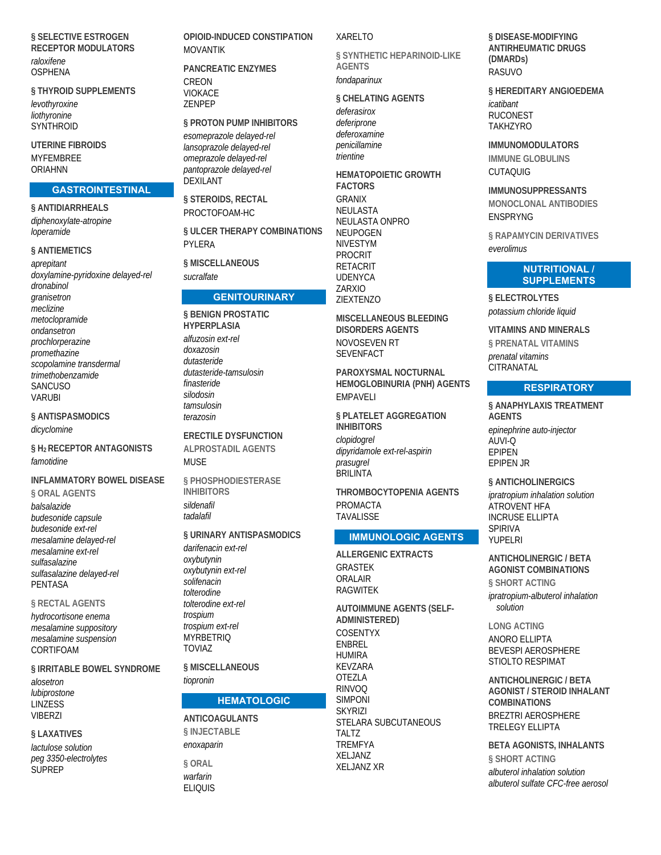# § SELECTIVE ESTROGEN **RECEPTOR MODULATORS**

raloxifene **OSPHENA** 

§ THYROID SUPPLEMENTS levothyroxine liothyronine SYNTHROID

**UTERINE FIBROIDS MYFFMBRFF** ORIAHNN

#### **GASTROINTESTINAL**

§ ANTIDIARRHEALS diphenoxylate-atropine loperamide

#### § ANTIEMETICS

aprepitant doxylamine-pyridoxine delayed-rel dronabinol granisetron meclizine metoclopramide ondansetron prochlorperazine promethazine scopolamine transdermal trimethobenzamide **SANCUSO VARIJRI** 

§ ANTISPASMODICS

dicyclomine

§ H<sub>2</sub> RECEPTOR ANTAGONISTS famotidine

**INFLAMMATORY BOWEL DISEASE** § ORAL AGENTS balsalazide budesonide capsule budesonide ext-rel mesalamine delaved-rel mesalamine ext-rel sulfasalazine sulfasalazine delayed-rel **PENTASA** 

#### **§ RECTAL AGENTS**

hydrocortisone enema mesalamine suppository mesalamine suspension CORTIFOAM

§ IRRITABLE BOWEL SYNDROME

alosetron lubiprostone **I INZESS VIBER7I** 

# § LAXATIVES

lactulose solution peg 3350-electrolytes **SUPREP** 

#### OPIOID-INDUCED CONSTIPATION **MOVANTIK**

**PANCREATIC ENZYMES** CREON **VIOKACE 7FNPFP** 

§ PROTON PUMP INHIBITORS esomeprazole delayed-rel lansoprazole delayed-rel omeprazole delayed-rel pantoprazole delayed-rel **DEXILANT** 

§ STEROIDS, RECTAL PROCTOFOAM-HC

§ ULCER THERAPY COMBINATIONS PYLERA

**§ MISCELLANEOUS** sucralfate

### **GENITOURINARY**

§ BENIGN PROSTATIC **HYPERPLASIA** alfuzosin ext-rel  $d$ nyaznsin dutasteride dutasteride-tamsulosin finasteride silodosin tamsulosin terazosin

**ERECTILE DYSFUNCTION ALPROSTADIL AGENTS MUSF** 

§ PHOSPHODIESTERASE **INHIBITORS** sildenafil tadalafil

### § URINARY ANTISPASMODICS

darifenacin ext-rel oxybutynin oxybutynin ext-rel solifenacin tolterodine tolterodine ext-rel trospium trospium ext-rel MYRRETRIO **TOVIA7** 

§ MISCELLANEOUS

tiopronin

# **HEMATOLOGIC**

**ANTICOAGULANTS** § INJECTABLE enoxaparin

**§ ORAL** warfarin **ELIOUIS** 

#### **XARELTO**

§ SYNTHETIC HEPARINOID-LIKE **AGENTS** 

fondaparinux

§ CHELATING AGENTS

deferasirox deferiprone deferoxamine penicillamine triontino

**HEMATOPOIETIC GROWTH FACTORS GRANIX NEULASTA** NEULASTA ONPRO **NEUPOGEN NIVESTYM PROCRIT RETACRIT UDENYCA** ZARXIO **ZIEXTENZO** 

MISCELLANEOUS BLEEDING **DISORDERS AGENTS** NOVOSEVEN RT **SEVENFACT** 

PAROXYSMAI NOCTURNAL HEMOGLOBINURIA (PNH) AGENTS **FMPAVFII** 

§ PLATELET AGGREGATION **INHIBITORS** 

clopidogrel dipyridamole ext-rel-aspirin prasuarel **BRILINTA** 

**THROMBOCYTOPENIA AGENTS PROMACTA TAVALISSE** 

### **IMMUNOLOGIC AGENTS**

**ALLERGENIC EXTRACTS GRASTEK** ORAI AIR **RAGWITEK** 

**AUTOIMMUNE AGENTS (SELF-ADMINISTERED)** COSENTYX **FNBRFI HUMIRA KEVZARA OTEZLA RINVOQ SIMPONI** SKYRI7I STELARA SUBCUTANEOUS TAI T7 **TREMFYA** XELJANZ **XELJANZ XR** 

§ DISEASE-MODIFYING **ANTIRHEUMATIC DRUGS** (DMARDs) RASUVO

§ HEREDITARY ANGIOEDEMA icatibant **RUCONEST TAKHZYRO** 

**IMMUNOMODULATORS IMMUNE GLOBULINS CUTAOUIG** 

#### **IMMUNOSUPPRESSANTS**

**MONOCLONAL ANTIBODIES FNSPRYNG** 

**§ RAPAMYCIN DERIVATIVES** everolimus

#### **NUTRITIONAL/ SUPPLEMENTS**

§ ELECTROLYTES potassium chloride liquid

**VITAMINS AND MINERALS** § PRENATAL VITAMINS prenatal vitamins CITRANATAL

#### **RESPIRATORY**

§ ANAPHYLAXIS TREATMENT **AGENTS** epinephrine auto-injector AUVI-Q **EPIPEN FPIPEN IR** 

§ ANTICHOLINERGICS

ipratropium inhalation solution ATROVENT HFA **INCRUSE ELLIPTA SPIRIVA** YUPFI RI

**ANTICHOLINERGIC / BETA AGONIST COMBINATIONS** 

§ SHORT ACTING ipratropium-albuterol inhalation

solution

**LONG ACTING** 

ANORO FI LIPTA **BEVESPI AEROSPHERE** STIOLTO RESPIMAT

**ANTICHOLINERGIC / BETA AGONIST / STEROID INHALANT COMBINATIONS** BREZTRI AFROSPHERE **TRELEGY ELLIPTA** 

**BETA AGONISTS, INHALANTS** § SHORT ACTING albuterol inhalation solution albuterol sulfate CFC-free aerosol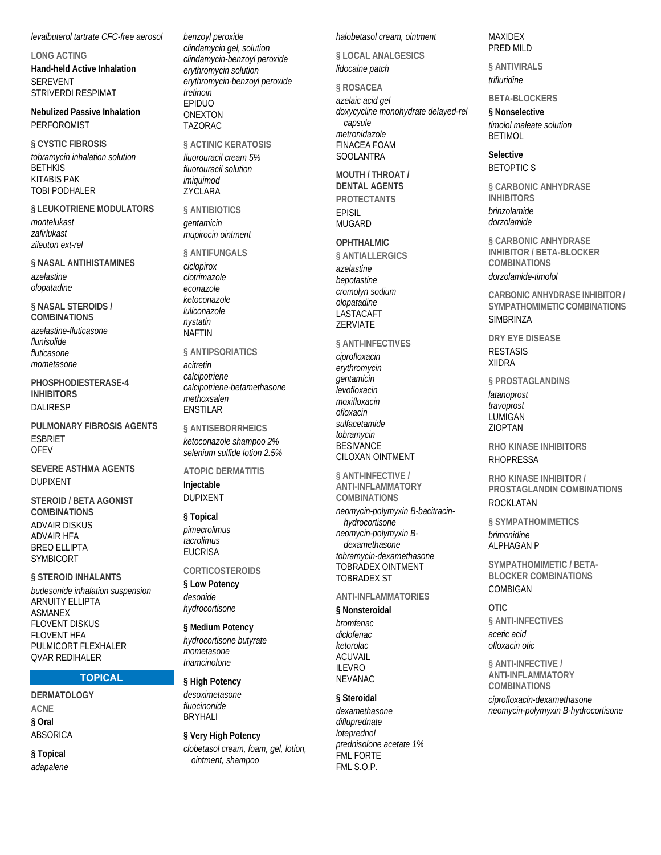levalbuterol tartrate CFC-free aerosol

**LONG ACTING Hand-held Active Inhalation SEREVENT** STRIVERDI RESPIMAT

**Nebulized Passive Inhalation PERFOROMIST** 

§ CYSTIC FIBROSIS tobramycin inhalation solution **BETHKIS KITABIS PAK TOBI PODHALER** 

#### § LEUKOTRIENE MODULATORS

montelukast zafirlukast zileuton ext-rel

#### **§ NASAL ANTIHISTAMINES**

azelastine olopatadine

§ NASAL STEROIDS / **COMBINATIONS** 

azelastine-fluticasone flunisolide fluticasone mometasone

PHOSPHODIESTERASE-4 **INHIBITORS DAI IRFSP** 

PULMONARY FIBROSIS AGENTS **ESBRIET OFFV** 

**SEVERE ASTHMA AGENTS DUPIXENT** 

**STEROID / BETA AGONIST COMBINATIONS ADVAIR DISKUS ADVAIR HFA BREO ELLIPTA SYMBICORT** 

§ STEROID INHALANTS budesonide inhalation suspension **ARNUITY ELLIPTA ASMANEX FLOVENT DISKUS FLOVENT HFA** PULMICORT FLEXHALER **QVAR REDIHALER** 

#### **TOPICAL**

**DERMATOLOGY ACNF** § Oral **ABSORICA** 

§ Topical adapalene benzoyl peroxide clindamycin gel, solution clindamycin-benzoyl peroxide erythromycin solution erythromycin-benzoyl peroxide tretinoin EPIDUO **ONEXTON TAZORAC** 

§ ACTINIC KERATOSIS fluorouracil cream 5% fluorouracil solution *imiguimod* ZYCLARA

§ ANTIBIOTICS *aentamicin* mupirocin ointment

§ ANTIFUNGALS ciclopirox

clotrimazole econazole ketoconazole luliconazole nystatin **NAFTIN** 

§ ANTIPSORIATICS acitretin calcipotriene calcipotriene-betamethasone methoxsalen **FNSTILAR** 

§ ANTISEBORRHEICS ketoconazole shampoo 2% selenium sulfide lotion 2.5%

# **ATOPIC DERMATITIS**

Injectable **DUPIXENT** 

#### § Topical

pimecrolimus tacrolimus **FUCRISA** 

#### **CORTICOSTEROIDS**

§ Low Potency desonide hydrocortisone

§ Medium Potency

hydrocortisone butyrate mometasone triamcinolone

§ High Potency desoximetasone fluocinonida

**BRYHALI** § Very High Potency

clobetasol cream, foam, gel, lotion, ointment, shampoo

halobetasol cream, ointment

§ LOCAL ANALGESICS lidocaine patch

§ ROSACEA azelaic acid gel doxycycline monohydrate delayed-rel capsule metronidazole **FINACEA FOAM SOOLANTRA** 

MOUTH / THROAT / **DENTAL AGENTS PROTECTANTS** 

**FPISII MUGARD** 

# **OPHTHALMIC**

§ ANTIALLERGICS azelastine bepotastine cromolyn sodium olopatadine LASTACAFT ZERVIATE

#### **§ ANTI-INFECTIVES**

ciprofloxacin erythromycin dentamicin levofloxacin moxifloxacin ofloxacin sulfacetamide tobramycin **BESIVANCE CILOXAN OINTMENT** 

§ ANTI-INFECTIVE / **ANTI-INFLAMMATORY COMBINATIONS** 

neomycin-polymyxin B-bacitracinhydrocortisone neomycin-polymyxin Bdexamethasone tobramycin-dexamethasone **TOBRADEX OINTMENT TOBRADEX ST** 

#### **ANTI-INFI AMMATORIES**

#### § Nonsteroidal

bromfenac diclofenac ketorolac **ACTIVAIL II FVRO NEVANAC** 

#### § Steroidal

dexamethasone difluprednate loteprednol prednisolone acetate 1% **FML FORTE** FML S.O.P.

#### MAXIDEX PRED MILD

**§ ANTIVIRALS** 

trifluridine

#### **BFTA-BI OCKFRS**

§ Nonselective timolol maleate solution **RETIMOL** 

Selective **BETOPTICS** 

**§ CARBONIC ANHYDRASE INHIBITORS** brinzolamide dorzolamide

**§ CARBONIC ANHYDRASE INHIBITOR / BETA-BLOCKER COMBINATIONS** 

dorzolamide-timolol

**CARBONIC ANHYDRASE INHIBITOR /** SYMPATHOMIMETIC COMBINATIONS **SIMBRINZA** 

**DRY EYE DISEASE RESTASIS XIIDRA** 

§ PROSTAGLANDINS latanoprost travoprost LUMIGAN **ZIOPTAN** 

**RHO KINASE INHIBITORS RHOPRESSA** 

RHO KINASE INHIBITOR / PROSTAGLANDIN COMBINATIONS ROCKI ATAN

§ SYMPATHOMIMETICS brimonidine **ALPHAGAN P** 

SYMPATHOMIMETIC / BETA-**BLOCKER COMBINATIONS** COMBIGAN

OTIC. § ANTI-INFECTIVES acetic acid ofloxacin otic

§ ANTI-INFECTIVE / **ANTI-INFLAMMATORY** 

**COMBINATIONS** ciprofloxacin-dexamethasone neomycin-polymyxin B-hydrocortisone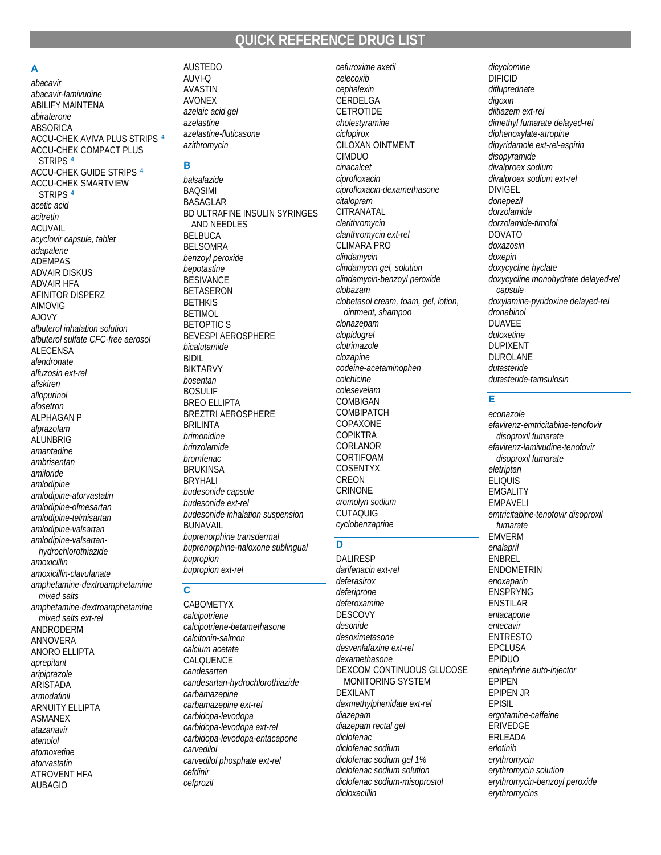# QUICK REFERENCE DRUG LIST

#### A

abacavir abacavir-lamivudine **ABILIFY MAINTENA** abiraterone **ABSORICA** ACCU-CHEK AVIVA PLUS STRIPS 4 **ACCU-CHEK COMPACT PLUS** STRIPS<sup>4</sup> **ACCU-CHEK GUIDE STRIPS 4 ACCU-CHEK SMARTVIEW STRIPS** acetic acid acitretin **ACUVAIL** acyclovir capsule, tablet adapalene **ADEMPAS ADVAIR DISKUS ADVAIR HFA AFINITOR DISPERZ AIMOVIG AJOVY** albuterol inhalation solution albuterol sulfate CFC-free aerosol **ALECENSA** alendronate alfuzosin ext-rel aliskiren allopurinol alosetron **ALPHAGAN P** alprazolam ALUNBRIG amantadine ambrisentan amiloride amlodipine amlodipine-atorvastatin amlodipine-olmesartan amlodipine-telmisartan amlodipine-valsartan amlodipine-valsartanhydrochlorothiazide amoxicillin amoxicillin-clavulanate amphetamine-dextroamphetamine mixed salts amphetamine-dextroamphetamine mixed salts ext-rel ANDRODERM **ANNOVERA** ANORO ELLIPTA aprepitant aripiprazole ARISTADA armodafinil **ARNUITY ELLIPTA** 

**ASMANEX** 

atazanavir

atomoxetine

atorvastatin

**AUBAGIO** 

**ATROVENT HFA** 

atenolol

**AUSTEDO** AUVI-O **AVASTIN AVONEX** azelaic acid gel azelastine azelastine-fluticasone azithromycin

#### **B**

balsalazide **BAQSIMI BASAGLAR** BD ULTRAFINE INSULIN SYRINGES AND NEEDLES **BELBUCA BELSOMRA** benzoyl peroxide bepotastine **BESIVANCE BETASERON BETHKIS BETIMOL BETOPTIC S BEVESPI AEROSPHERE** bicalutamide **RIDIL BIKTARVY** hosentan **BOSULIF BREO ELLIPTA BREZTRI AEROSPHERE BRILINTA brimonidine** brinzolamide **bromfenac BRUKINSA BRYHALI** budesonide capsule budesonide ext-rel budesonide inhalation suspension **BUNAVAIL** buprenorphine transdermal buprenorphine-naloxone sublingual bupropion bupropion ext-rel

#### $\overline{c}$

CABOMETYX calcipotriene calcipotriene-betamethasone calcitonin-salmon calcium acetate CALQUENCE candesartan candesartan-hydrochlorothiazide carbamazepine carbamazepine ext-rel carbidopa-levodopa carbidopa-levodopa ext-rel carbidopa-levodopa-entacapone carvedilol carvedilol phosphate ext-rel cefdinir cefprozil

cefuroxime axetil celecoxib cephalexin CERDELGA **CETROTIDE** cholestvramine ciclopirox CILOXAN OINTMENT **CIMDUO** cinacalcet ciprofloxacin ciprofloxacin-dexamethasone citalopram CITRANATAL clarithromvcin clarithromycin ext-rel **CLIMARA PRO** clindamycin clindamycin gel, solution clindamycin-benzoyl peroxide  $clobazam$ clobetasol cream, foam, gel, lotion, ointment, shampoo clonazepam clopidogrel clotrimazole clozapine codeine-acetaminophen colchicine colesevelam COMBIGAN **COMBIPATCH** COPAXONE **COPIKTRA** CORLANOR CORTIFOAM **COSENTYX** CREON **CRINONE** cromolyn sodium

#### D

**CUTAQUIG** 

cyclobenzaprine

**DALIRESP** darifenacin ext-rel deferasirox deferiprone deferoxamine **DESCOVY** desonide desoximetasone desvenlafaxine ext-rel dexamethasone DEXCOM CONTINUOUS GLUCOSE **MONITORING SYSTEM DEXILANT** dexmethylphenidate ext-rel diazepam diazepam rectal gel diclofenac diclofenac sodium diclofenac sodium gel 1% diclofenac sodium solution diclofenac sodium-misoprostol dicloxacillin

dicyclomine **DIFICID** difluprednate digoxin diltiazem ext-rel dimethyl fumarate delayed-rel diphenoxylate-atropine dipyridamole ext-rel-aspirin disopyramide divalproex sodium divalproex sodium ext-rel DIVIGEL donepezil dorzolamide dorzolamide-timolol **DOVATO** doxazosin doxepin doxycycline hyclate doxycycline monohydrate delayed-rel capsule doxylamine-pyridoxine delayed-rel  $d$ ronabinol **DUAVEE** duloxetine **DUPIXENT DUROLANE** dutasteride dutasteride-tamsulosin

### Ė

econazole efavirenz-emtricitabine-tenofovir disoproxil fumarate efavirenz-lamivudine-tenofovir disoproxil fumarate eletriptan **ELIQUIS EMGALITY EMPAVELI** emtricitabine-tenofovir disoproxil fumarate **EMVERM** enalapril ENBREL ENDOMETRIN enoxaparin **ENSPRYNG ENSTILAR** entacapone entecavir **ENTRESTO EPCLUSA EPIDUO** epinephrine auto-injector **EPIPEN EPIPEN JR EPISIL** ergotamine-caffeine ERIVEDGE ERLEADA erlotinib erythromycin erythromycin solution erythromycin-benzoyl peroxide erythromycins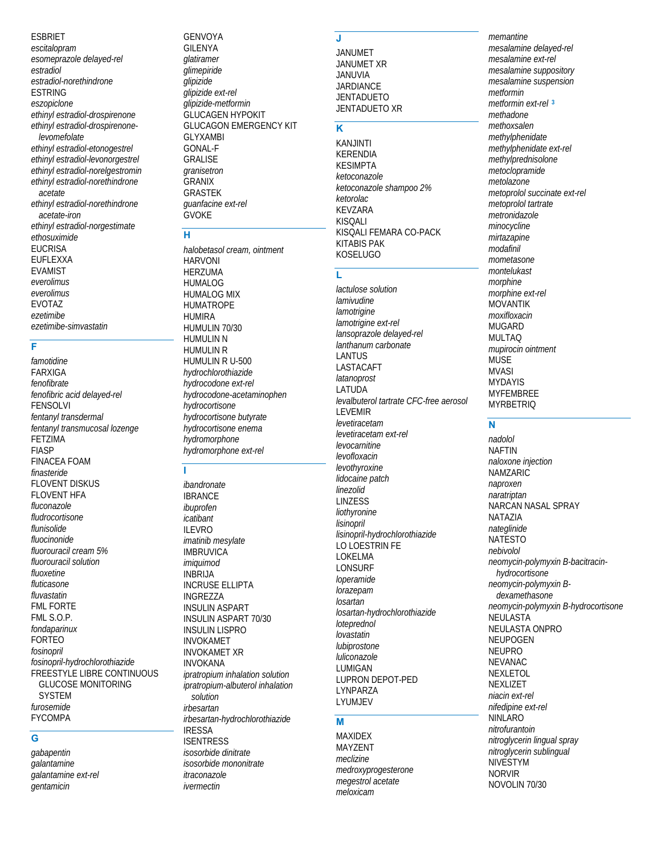#### **ESBRIET**

escitalopram esomeprazole delayed-rel estradiol estradiol-norethindrone **FSTRING** eszopiclone ethinyl estradiol-drospirenone ethinyl estradiol-drospirenonelevomefolate ethinyl estradiol-etonogestrel ethinyl estradiol-levonorgestrel ethinyl estradiol-norelgestromin ethinyl estradiol-norethindrone acetate ethinyl estradiol-norethindrone acetate-iron ethinyl estradiol-norgestimate ethosuximide **EUCRISA EUFLEXXA EVAMIST** everolimus everolimus **EVOTAZ** ezetimibe ezetimibe-simvastatin

### F

famotidine **FARXIGA** fenofibrate fenofibric acid delayed-rel **FENSOLVI** fentanyl transdermal fentanyl transmucosal lozenge **FETZIMA FIASP FINACEA FOAM** finasteride **FLOVENT DISKUS FLOVENT HFA** fluconazole fludrocortisone flunisolide fluocinonide fluorouracil cream 5% fluorouracil solution fluoxetine fluticasone fluvastatin **FML FORTE** FML S.O.P. fondaparinux **FORTEO** fosinopril fosinopril-hydrochlorothiazide **FREESTYLE LIBRE CONTINUOUS GLUCOSE MONITORING SYSTEM** furosemide **FYCOMPA** 

### Ġ

gabapentin galantamine galantamine ext-rel gentamicin

#### **GENVOYA GILENYA** glatiramer glimepiride glipizide glipizide ext-rel glipizide-metformin **GLUCAGEN HYPOKIT GLUCAGON EMERGENCY KIT GLYXAMBI GONAL-F GRALISE** aranisetron **GRANIX GRASTEK** quanfacine ext-rel **GVOKE**

# н

halobetasol cream, ointment **HARVONI HFR7UMA** HUMALOG HUMALOG MIX **HUMATROPE HUMIRA** HUMULIN 70/30 **HUMULIN N HUMULIN R** HUMULIN R U-500 hydrochlorothiazide hydrocodone ext-rel hydrocodone-acetaminophen hydrocortisone hydrocortisone butyrate hydrocortisone enema hydromorphone hydromorphone ext-rel

ibandronate **IBRANCE** ibuprofen icatibant **ILEVRO** imatinib mesylate **IMBRUVICA** imiquimod **INBRIJA INCRUSE ELLIPTA INGREZZA INSULIN ASPART INSULIN ASPART 70/30 INSULIN LISPRO INVOKAMET INVOKAMET XR INVOKANA** ipratropium inhalation solution ipratropium-albuterol inhalation solution irhesartan irbesartan-hydrochlorothiazide **IRESSA ISENTRESS** isosorbide dinitrate isosorbide mononitrate *itraconazole* ivermectin

#### $\mathbf{J}$

**JANUMET JANUMET XR JANUVIA JARDIANCE JENTADUETO** JENTADUETO XR

# K

**KANJINTI KERENDIA KESIMPTA** ketoconazole ketoconazole shampoo 2% ketorolac **KEVZARA KISOALL** KISQALI FEMARA CO-PACK **KITABIS PAK KOSELUGO** 

#### T.

lactulose solution *lamivudine* lamotrigine lamotrigine ext-rel lansoprazole delayed-rel lanthanum carbonate **LANTUS** LASTACAFT latanoprost **LATUDA** levalbuterol tartrate CFC-free aerosol **LEVEMIR** levetiracetam levetiracetam ext-rel levocarnitine levofloxacin levothvroxine lidocaine patch linezolid **LINZESS** liothyronine lisinopril lisinopril-hydrochlorothiazide **LO LOESTRIN FF LOKELMA** LONSURF loperamide lorazepam losartan losartan-hydrochlorothiazide loteprednol lovastatin lubiprostone luliconazole LUMIGAN **LUPRON DEPOT-PED** LYNPARZA LYUMJEV

#### M

**MAXIDEX MAYZENT** meclizine medroxyprogesterone megestrol acetate meloxicam

memantine mesalamine delayed-rel mesalamine ext-rel mesalamine suppository mesalamine suspension metformin metformin ext-rel<sup>3</sup> methadone methoxsalen methylphenidate methylphenidate ext-rel methylprednisolone metoclopramide metolazone metoprolol succinate ext-rel metoprolol tartrate metronidazole minocycline mirtazapine modafinil mometasone montelukast morphine morphine ext-rel **MOVANTIK** moxifloxacin **MUGARD MULTAO** mupirocin ointment **MUSE MVASI MYDAYIS MYFEMBREE MYRBETRIQ** 

#### N

nadolol **NAFTIN** naloxone injection **NAMZARIC** naproxen naratriptan NARCAN NASAL SPRAY NATAZIA nateglinide **NATESTO** nehivolol neomycin-polymyxin B-bacitracinhvdrocortisone neomycin-polymyxin Bdexamethasone neomycin-polymyxin B-hydrocortisone NEULASTA NEULASTA ONPRO NEUPOGEN **NEUPRO** NFVANAC **NEXLETOL** NEXLIZET niacin ext-rel nifedipine ext-rel **NINLARO** nitrofurantoin nitroglycerin lingual spray nitroglycerin sublingual NIVESTYM **NORVIR** NOVOLIN 70/30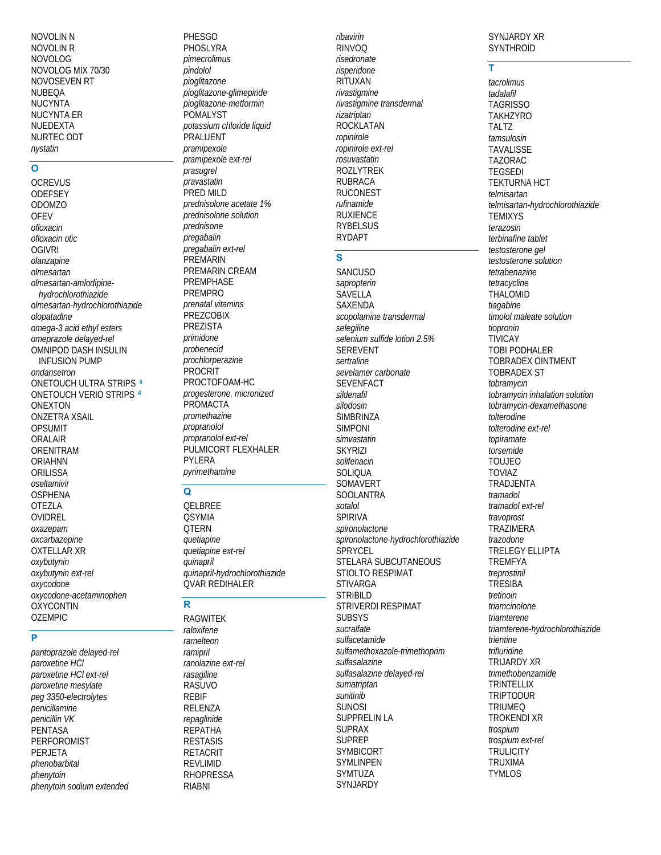**NOVOLIN N NOVOLIN R NOVOLOG** NOVOLOG MIX 70/30 NOVOSEVEN RT **NURFOA NUCYNTA NUCYNTA ER NUEDEXTA** NURTEC ODT nystatin

# $\overline{\mathsf{o}}$

**OCREVUS ODEFSEY ODOMZO OFEV** ofloxacin ofloxacin otic **OGIVRI** olanzapine olmesartan olmesartan-amlodipinehydrochlorothiazide olmesartan-hydrochlorothiazide olopatadine omega-3 acid ethyl esters omeprazole delayed-rel OMNIPOD DASH INSULIN **INFUSION PUMP** ondansetron ONETOUCH ULTRA STRIPS 4 ONETOUCH VERIO STRIPS 4 **ONEXTON ONZETRA XSAIL OPSUMIT ORALAIR** ORENITRAM **ORIAHNN ORILISSA** oseltamivir **OSPHENA OTEZLA** OVIDREL oxazepam oxcarbazepine **OXTELLAR XR** oxybutynin oxybutynin ext-rel oxycodone oxycodone-acetaminophen **OXYCONTIN OZEMPIC** 

## $\overline{\mathsf{P}}$

pantoprazole delayed-rel paroxetine HCI paroxetine HCI ext-rel paroxetine mesylate peg 3350-electrolytes penicillamine penicillin VK PENTASA **PERFOROMIST PERJETA** phenobarbital phenytoin phenytoin sodium extended

**PHESGO** PHOSLYRA pimecrolimus pindolol pioglitazone pioglitazone-glimepiride *pioglitazone-metformin* POMALYST potassium chloride liquid PRALUENT pramipexole pramipexole ext-rel prasugrel pravastatin PRED MILD prednisolone acetate 1% prednisolone solution prednisone pregabalin pregabalin ext-rel **PREMARIN** PREMARIN CREAM PREMPHASE PREMPRO prenatal vitamins PREZCOBIX **PREZISTA** primidone probenecid prochlorperazine PROCRIT PROCTOFOAM-HC progesterone, micronized PROMACTA promethazine propranolol propranolol ext-rel PULMICORT FLEXHALER **PYI FRA** pyrimethamine

#### $\Omega$

OELBREE **OSYMIA OTFRN** quetiapine quetiapine ext-rel quinapril auinapril-hydrochlorothiazide **QVAR REDIHALER** 

# $\overline{\mathbf{R}}$

**RAGWITEK** raloxifene ramelteon ramipril ranolazine ext-rel rasagiline RASUVO **REBIF RELENZA** repaglinide **REPATHA RESTASIS RETACRIT REVLIMID RHOPRESSA RIABNI** 

ribavirin **RINVOO** risedronate risperidone RITUXAN rivastigmine rivastigmine transdermal rizatriptan **ROCKLATAN** ropinirole ropinirole ext-rel rosuvastatin **ROZLYTREK RUBRACA RUCONEST** rufinamide **RUXIENCE RYBELSUS** 

#### $\overline{\mathbf{s}}$

**RYDAPT** 

**SANCUSO** sapropterin **SAVELLA SAXENDA** scopolamine transdermal selegiline selenium sulfide lotion 2.5% **SEREVENT** sertraline sevelamer carbonate **SEVENFACT** sildenafil silodosin **SIMBRINZA SIMPONI** simvastatin **SKYRIZI** solifenacin **SOLIQUA** SOMAVERT **SOOLANTRA** sotalol **SPIRIVA** spironolactone spironolactone-hydrochlorothiazide SPRYCEL STELARA SUBCUTANEOUS STIOLTO RESPIMAT **STIVARGA STRIBILD** STRIVERDI RESPIMAT **SUBSYS** sucralfate sulfacetamide sulfamethoxazole-trimethoprim sulfasalazine sulfasalazine delaved-rel sumatriptan sunitinib **SUNOSI SUPPRELIN LA SUPRAX SUPREP** SYMBICORT **SYMLINPEN SYMTUZA** SYNJARDY

#### SYNJARDY XR **SYNTHROID**

Ŧ

tacrolimus tadalafil **TAGRISSO TAKHZYRO TALTZ** tamsulosin **TAVALISSE TAZORAC TEGSEDI TEKTURNA HCT** telmisartan telmisartan-hydrochlorothiazide **TEMIXYS** terazosin terbinafine tablet testosterone gel testosterone solution tetrabenazine tetracycline **THAI OMID** tiagabine timolol maleate solution tiopronin **TIVICAY TOBI PODHALER TOBRADEX OINTMENT TOBRADEX ST** tobramycin tobramycin inhalation solution tobramycin-dexamethasone tolterodine tolterodine ext-rel topiramate torsemide **TOUJEO TOVIAZ TRADJENTA** tramadol tramadol ext-rel travoprost **TRAZIMERA** trazodone **TRELEGY ELLIPTA TREMFYA** treprostinil **TRESIBA** tretinoin triamcinolone triamterene triamterene-hydrochlorothiazide trientine trifluridine **TRUARDY XR** trimethobenzamide **TRINTELLIX TRIPTODUR TRIUMEQ TROKENDI XR** trospium trospium ext-rel **TRULICITY TRUXIMA TYMLOS**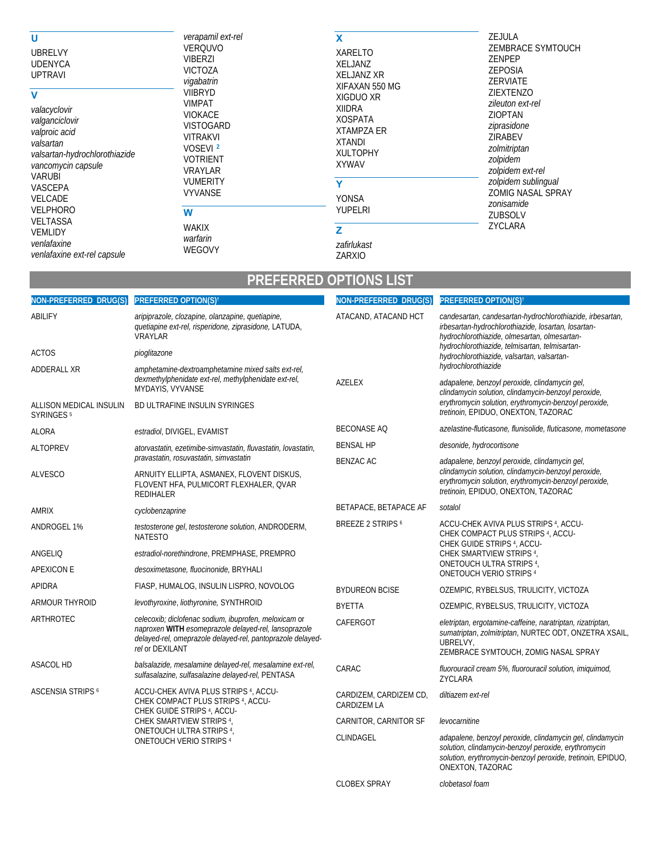| U<br><b>UBRELVY</b><br><b>UDENYCA</b><br><b>UPTRAVI</b>                                                                                                                                                                                                               | verapamil ext-rel<br><b>VERQUVO</b><br><b>VIBERZI</b><br><b>VICTOZA</b><br>vigabatrin<br><b>VIIBRYD</b><br><b>VIMPAT</b><br><b>VIOKACE</b><br><b>VISTOGARD</b><br><b>VITRAKVI</b><br>VOSEVI <sup>2</sup><br><b>VOTRIENT</b><br><b>VRAYLAR</b><br><b>VUMERITY</b><br><b>VYVANSE</b><br>W<br><b>WAKIX</b><br>warfarin<br>WEGOVY | X<br>XARELTO<br><b>XELJANZ</b><br><b>XELJANZ XR</b><br>XIFAXAN 550 MG                                                                                                        | <b>ZEJULA</b><br><b>ZEMBRACE SYMTOUCH</b><br><b>ZENPEP</b><br>ZEPOSIA<br><b>ZERVIATE</b>                                                                                                                                       |
|-----------------------------------------------------------------------------------------------------------------------------------------------------------------------------------------------------------------------------------------------------------------------|-------------------------------------------------------------------------------------------------------------------------------------------------------------------------------------------------------------------------------------------------------------------------------------------------------------------------------|------------------------------------------------------------------------------------------------------------------------------------------------------------------------------|--------------------------------------------------------------------------------------------------------------------------------------------------------------------------------------------------------------------------------|
| V<br>valacyclovir<br>valganciclovir<br>valproic acid<br>valsartan<br>valsartan-hydrochlorothiazide<br>vancomycin capsule<br><b>VARUBI</b><br><b>VASCEPA</b><br>VELCADE<br>VELPHORO<br><b>VELTASSA</b><br><b>VEMLIDY</b><br>venlafaxine<br>venlafaxine ext-rel capsule |                                                                                                                                                                                                                                                                                                                               | XIGDUO XR<br><b>XIIDRA</b><br><b>XOSPATA</b><br><b>XTAMPZA ER</b><br>XTANDI<br><b>XULTOPHY</b><br><b>XYWAV</b><br>Y<br><b>YONSA</b><br>YUPELRI<br>z<br>zafirlukast<br>ZARXIO | ZIEXTENZO<br>zileuton ext-rel<br><b>ZIOPTAN</b><br>ziprasidone<br><b>ZIRABEV</b><br>zolmitriptan<br>zolpidem<br>zolpidem ext-rel<br>zolpidem sublingual<br><b>ZOMIG NASAL SPRAY</b><br>zonisamide<br><b>ZUBSOLV</b><br>ZYCLARA |

# **Example 12 PREFERRED OPTIONS LIST**

| NON-PREFERRED DRUG(S)                            | <b>PREFERRED OPTION(S)</b> †                                                                                                                                                                                              | NON-PREFERRED DRUG(S)                        | <b>PREFERRED OPTION(S)<sup>t</sup></b>                                                                                                                                                               |
|--------------------------------------------------|---------------------------------------------------------------------------------------------------------------------------------------------------------------------------------------------------------------------------|----------------------------------------------|------------------------------------------------------------------------------------------------------------------------------------------------------------------------------------------------------|
| ABILIFY                                          | aripiprazole, clozapine, olanzapine, quetiapine,<br>quetiapine ext-rel, risperidone, ziprasidone, LATUDA,<br><b>VRAYLAR</b>                                                                                               | ATACAND, ATACAND HCT                         | candesartan, candesartan-hydrochlorothiazide, irbesartan,<br>irbesartan-hydrochlorothiazide, losartan, losartan-<br>hydrochlorothiazide, olmesartan, olmesartan-                                     |
| <b>ACTOS</b>                                     | pioglitazone                                                                                                                                                                                                              |                                              | hydrochlorothiazide, telmisartan, telmisartan-<br>hydrochlorothiazide, valsartan, valsartan-                                                                                                         |
| ADDERALL XR                                      | amphetamine-dextroamphetamine mixed salts ext-rel,<br>dexmethylphenidate ext-rel, methylphenidate ext-rel,<br>MYDAYIS, VYVANSE                                                                                            |                                              | hydrochlorothiazide                                                                                                                                                                                  |
|                                                  |                                                                                                                                                                                                                           | <b>AZELEX</b>                                | adapalene, benzoyl peroxide, clindamycin gel,<br>clindamycin solution, clindamycin-benzoyl peroxide,                                                                                                 |
| ALLISON MEDICAL INSULIN<br>SYRINGES <sup>5</sup> | BD ULTRAFINE INSULIN SYRINGES                                                                                                                                                                                             |                                              | erythromycin solution, erythromycin-benzoyl peroxide,<br>tretinoin, EPIDUO, ONEXTON, TAZORAC                                                                                                         |
| <b>ALORA</b>                                     | estradiol, DIVIGEL, EVAMIST                                                                                                                                                                                               | <b>BECONASE AO</b>                           | azelastine-fluticasone, flunisolide, fluticasone, mometasone                                                                                                                                         |
| <b>ALTOPREV</b>                                  | atorvastatin, ezetimibe-simvastatin, fluvastatin, lovastatin,                                                                                                                                                             | <b>BENSAL HP</b>                             | desonide, hydrocortisone                                                                                                                                                                             |
|                                                  | pravastatin, rosuvastatin, simvastatin                                                                                                                                                                                    | <b>BENZAC AC</b>                             | adapalene, benzoyl peroxide, clindamycin gel,<br>clindamycin solution, clindamycin-benzoyl peroxide,<br>erythromycin solution, erythromycin-benzoyl peroxide,<br>tretinoin, EPIDUO, ONEXTON, TAZORAC |
| <b>ALVESCO</b>                                   | ARNUITY ELLIPTA, ASMANEX, FLOVENT DISKUS,<br>FLOVENT HFA, PULMICORT FLEXHALER, QVAR<br>REDIHALER                                                                                                                          |                                              |                                                                                                                                                                                                      |
| <b>AMRIX</b>                                     | cyclobenzaprine                                                                                                                                                                                                           | BETAPACE, BETAPACE AF                        | sotalol                                                                                                                                                                                              |
| ANDROGEL 1%                                      | testosterone gel, testosterone solution, ANDRODERM,<br><b>NATESTO</b>                                                                                                                                                     | <b>BREEZE 2 STRIPS 6</b>                     | ACCU-CHEK AVIVA PLUS STRIPS <sup>4</sup> , ACCU-<br>CHEK COMPACT PLUS STRIPS 4, ACCU-<br>CHEK GUIDE STRIPS <sup>4</sup> , ACCU-                                                                      |
| ANGELIQ                                          | estradiol-norethindrone, PREMPHASE, PREMPRO                                                                                                                                                                               |                                              | CHEK SMARTVIEW STRIPS 4,                                                                                                                                                                             |
| <b>APEXICON E</b>                                | desoximetasone, fluocinonide, BRYHALI                                                                                                                                                                                     |                                              | ONETOUCH ULTRA STRIPS 4,<br>ONETOUCH VERIO STRIPS 4                                                                                                                                                  |
| <b>APIDRA</b>                                    | FIASP, HUMALOG, INSULIN LISPRO, NOVOLOG                                                                                                                                                                                   | <b>BYDUREON BCISE</b>                        | OZEMPIC, RYBELSUS, TRULICITY, VICTOZA                                                                                                                                                                |
| <b>ARMOUR THYROID</b>                            | levothyroxine, liothyronine, SYNTHROID                                                                                                                                                                                    | <b>BYETTA</b>                                | OZEMPIC, RYBELSUS, TRULICITY, VICTOZA                                                                                                                                                                |
| ARTHROTEC                                        | celecoxib; diclofenac sodium, ibuprofen, meloxicam or<br>naproxen WITH esomeprazole delayed-rel, lansoprazole<br>delayed-rel, omeprazole delayed-rel, pantoprazole delayed-<br>rel or DEXILANT                            | CAFERGOT                                     | eletriptan, ergotamine-caffeine, naratriptan, rizatriptan,<br>sumatriptan, zolmitriptan, NURTEC ODT, ONZETRA XSAIL,<br>UBRELVY.<br>ZEMBRACE SYMTOUCH, ZOMIG NASAL SPRAY                              |
| <b>ASACOL HD</b>                                 | balsalazide, mesalamine delayed-rel, mesalamine ext-rel,<br>sulfasalazine, sulfasalazine delayed-rel, PENTASA                                                                                                             | CARAC                                        | fluorouracil cream 5%, fluorouracil solution, imiquimod,<br>ZYCLARA                                                                                                                                  |
| <b>ASCENSIA STRIPS 6</b>                         | ACCU-CHEK AVIVA PLUS STRIPS <sup>4</sup> , ACCU-<br>CHEK COMPACT PLUS STRIPS <sup>4</sup> , ACCU-<br>CHEK GUIDE STRIPS 4, ACCU-<br>CHEK SMARTVIEW STRIPS 4,<br>ONETOUCH ULTRA STRIPS 4,<br><b>ONETOUCH VERIO STRIPS 4</b> | CARDIZEM, CARDIZEM CD,<br><b>CARDIZEM LA</b> | diltiazem ext-rel                                                                                                                                                                                    |
|                                                  |                                                                                                                                                                                                                           | CARNITOR, CARNITOR SF                        | levocarnitine                                                                                                                                                                                        |
|                                                  |                                                                                                                                                                                                                           | CLINDAGEL                                    | adapalene, benzoyl peroxide, clindamycin gel, clindamycin<br>solution, clindamycin-benzoyl peroxide, erythromycin<br>solution, erythromycin-benzoyl peroxide, tretinoin, EPIDUO,<br>ONEXTON, TAZORAC |
|                                                  |                                                                                                                                                                                                                           | <b>CLOBEX SPRAY</b>                          | clobetasol foam                                                                                                                                                                                      |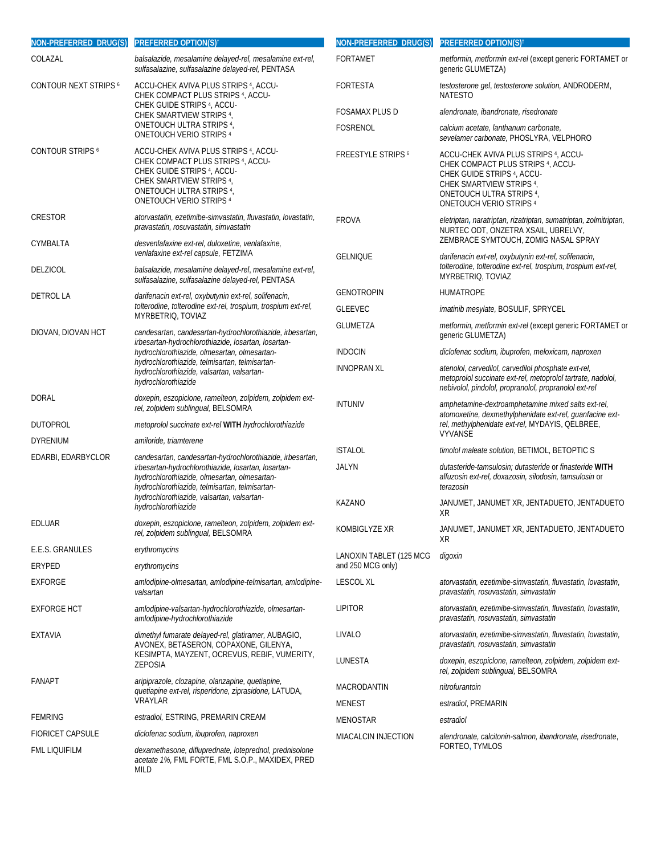| NON-PREFERRED DRUG(S)                                                                                                                                                                                                                    | PREFERRED OPTION(S) <sup>+</sup>                                                                                                                                                                                   | NON-PREFERRED DRUG(S)                | <b>PREFERRED OPTION(S)</b> †                                                                                                                                                                                                  |
|------------------------------------------------------------------------------------------------------------------------------------------------------------------------------------------------------------------------------------------|--------------------------------------------------------------------------------------------------------------------------------------------------------------------------------------------------------------------|--------------------------------------|-------------------------------------------------------------------------------------------------------------------------------------------------------------------------------------------------------------------------------|
| COLAZAL                                                                                                                                                                                                                                  | balsalazide, mesalamine delayed-rel, mesalamine ext-rel,<br>sulfasalazine, sulfasalazine delayed-rel, PENTASA                                                                                                      | <b>FORTAMET</b>                      | metformin, metformin ext-rel (except generic FORTAMET or<br>generic GLUMETZA)                                                                                                                                                 |
| <b>CONTOUR NEXT STRIPS 6</b>                                                                                                                                                                                                             | ACCU-CHEK AVIVA PLUS STRIPS 4, ACCU-<br>CHEK COMPACT PLUS STRIPS 4, ACCU-                                                                                                                                          | <b>FORTESTA</b>                      | testosterone gel, testosterone solution, ANDRODERM,<br><b>NATESTO</b>                                                                                                                                                         |
|                                                                                                                                                                                                                                          | CHEK GUIDE STRIPS 4, ACCU-<br>CHEK SMARTVIEW STRIPS 4,                                                                                                                                                             | <b>FOSAMAX PLUS D</b>                | alendronate, ibandronate, risedronate                                                                                                                                                                                         |
|                                                                                                                                                                                                                                          | ONETOUCH ULTRA STRIPS 4,<br>ONETOUCH VERIO STRIPS 4                                                                                                                                                                | FOSRENOL                             | calcium acetate, lanthanum carbonate,<br>sevelamer carbonate, PHOSLYRA, VELPHORO                                                                                                                                              |
| <b>CONTOUR STRIPS 6</b>                                                                                                                                                                                                                  | ACCU-CHEK AVIVA PLUS STRIPS <sup>4</sup> , ACCU-<br>CHEK COMPACT PLUS STRIPS <sup>4</sup> , ACCU-<br>CHEK GUIDE STRIPS 4, ACCU-<br>CHEK SMARTVIEW STRIPS 4,<br>ONETOUCH ULTRA STRIPS 4,<br>ONETOUCH VERIO STRIPS 4 | <b>FREESTYLE STRIPS</b> <sup>6</sup> | ACCU-CHEK AVIVA PLUS STRIPS <sup>4</sup> , ACCU-<br>CHEK COMPACT PLUS STRIPS <sup>4</sup> , ACCU-<br>CHEK GUIDE STRIPS <sup>4</sup> , ACCU-<br>CHEK SMARTVIEW STRIPS 4,<br>ONETOUCH ULTRA STRIPS 4<br>ONETOUCH VERIO STRIPS 4 |
| CRESTOR                                                                                                                                                                                                                                  | atorvastatin, ezetimibe-simvastatin, fluvastatin, lovastatin,<br>pravastatin, rosuvastatin, simvastatin                                                                                                            | <b>FROVA</b>                         | eletriptan, naratriptan, rizatriptan, sumatriptan, zolmitriptan,<br>NURTEC ODT, ONZETRA XSAIL, UBRELVY,                                                                                                                       |
| CYMBALTA                                                                                                                                                                                                                                 | desvenlafaxine ext-rel, duloxetine, venlafaxine,                                                                                                                                                                   |                                      | ZEMBRACE SYMTOUCH, ZOMIG NASAL SPRAY                                                                                                                                                                                          |
| <b>DELZICOL</b>                                                                                                                                                                                                                          | venlafaxine ext-rel capsule, FETZIMA<br>balsalazide, mesalamine delayed-rel, mesalamine ext-rel,<br>sulfasalazine, sulfasalazine delayed-rel, PENTASA                                                              | <b>GELNIQUE</b>                      | darifenacin ext-rel, oxybutynin ext-rel, solifenacin,<br>tolterodine, tolterodine ext-rel, trospium, trospium ext-rel,<br>MYRBETRIQ, TOVIAZ                                                                                   |
| <b>DETROL LA</b>                                                                                                                                                                                                                         | darifenacin ext-rel, oxybutynin ext-rel, solifenacin,                                                                                                                                                              | <b>GENOTROPIN</b>                    | <b>HUMATROPE</b>                                                                                                                                                                                                              |
|                                                                                                                                                                                                                                          | tolterodine, tolterodine ext-rel, trospium, trospium ext-rel,<br>MYRBETRIQ, TOVIAZ                                                                                                                                 | <b>GLEEVEC</b>                       | imatinib mesylate, BOSULIF, SPRYCEL                                                                                                                                                                                           |
| DIOVAN, DIOVAN HCT<br>hydrochlorothiazide, telmisartan, telmisartan-<br>hydrochlorothiazide                                                                                                                                              | candesartan, candesartan-hydrochlorothiazide, irbesartan,<br>irbesartan-hydrochlorothiazide, losartan, losartan-<br>hydrochlorothiazide, olmesartan, olmesartan-                                                   | <b>GLUMETZA</b>                      | metformin, metformin ext-rel (except generic FORTAMET or<br>generic GLUMETZA)                                                                                                                                                 |
|                                                                                                                                                                                                                                          |                                                                                                                                                                                                                    | <b>INDOCIN</b>                       | diclofenac sodium, ibuprofen, meloxicam, naproxen                                                                                                                                                                             |
|                                                                                                                                                                                                                                          | hydrochlorothiazide, valsartan, valsartan-                                                                                                                                                                         | <b>INNOPRAN XL</b>                   | atenolol, carvedilol, carvedilol phosphate ext-rel,<br>metoprolol succinate ext-rel, metoprolol tartrate, nadolol,<br>nebivolol, pindolol, propranolol, propranolol ext-rel                                                   |
| <b>DORAL</b>                                                                                                                                                                                                                             | doxepin, eszopiclone, ramelteon, zolpidem, zolpidem ext-<br>rel, zolpidem sublingual, BELSOMRA                                                                                                                     | <b>INTUNIV</b>                       | amphetamine-dextroamphetamine mixed salts ext-rel,<br>atomoxetine, dexmethylphenidate ext-rel, guanfacine ext-                                                                                                                |
| <b>DUTOPROL</b>                                                                                                                                                                                                                          | metoprolol succinate ext-rel WITH hydrochlorothiazide                                                                                                                                                              |                                      | rel, methylphenidate ext-rel, MYDAYIS, QELBREE,<br><b>VYVANSE</b>                                                                                                                                                             |
| <b>DYRENIUM</b>                                                                                                                                                                                                                          | amiloride, triamterene                                                                                                                                                                                             | <b>ISTALOL</b>                       | timolol maleate solution, BETIMOL, BETOPTIC S                                                                                                                                                                                 |
| EDARBI, EDARBYCLOR<br>candesartan, candesartan-hydrochlorothiazide, irbesartan,<br>irbesartan-hydrochlorothiazide, losartan, losartan-<br>hydrochlorothiazide, olmesartan, olmesartan-<br>hydrochlorothiazide, telmisartan, telmisartan- |                                                                                                                                                                                                                    | <b>JALYN</b>                         | dutasteride-tamsulosin; dutasteride or finasteride WITH<br>alfuzosin ext-rel, doxazosin, silodosin, tamsulosin or<br>terazosin                                                                                                |
|                                                                                                                                                                                                                                          | hydrochlorothiazide, valsartan, valsartan-<br>hydrochlorothiazide                                                                                                                                                  | <b>KAZANO</b>                        | JANUMET, JANUMET XR, JENTADUETO, JENTADUETO<br>XR                                                                                                                                                                             |
| EDLUAR                                                                                                                                                                                                                                   | doxepin, eszopiclone, ramelteon, zolpidem, zolpidem ext-<br>rel, zolpidem sublingual, BELSOMRA                                                                                                                     | KOMBIGLYZE XR                        | JANUMET, JANUMET XR, JENTADUETO, JENTADUETO<br>XR                                                                                                                                                                             |
| E.E.S. GRANULES                                                                                                                                                                                                                          | erythromycins                                                                                                                                                                                                      | LANOXIN TABLET (125 MCG              | digoxin                                                                                                                                                                                                                       |
| ERYPED                                                                                                                                                                                                                                   | erythromycins                                                                                                                                                                                                      | and 250 MCG only)                    |                                                                                                                                                                                                                               |
| <b>EXFORGE</b>                                                                                                                                                                                                                           | amlodipine-olmesartan, amlodipine-telmisartan, amlodipine-<br>valsartan                                                                                                                                            | <b>LESCOL XL</b>                     | atorvastatin, ezetimibe-simvastatin, fluvastatin, lovastatin,<br>pravastatin, rosuvastatin, simvastatin                                                                                                                       |
| <b>EXFORGE HCT</b>                                                                                                                                                                                                                       | amlodipine-valsartan-hydrochlorothiazide, olmesartan-<br>amlodipine-hydrochlorothiazide                                                                                                                            | <b>LIPITOR</b>                       | atorvastatin, ezetimibe-simvastatin, fluvastatin, lovastatin,<br>pravastatin, rosuvastatin, simvastatin                                                                                                                       |
| <b>EXTAVIA</b>                                                                                                                                                                                                                           | dimethyl fumarate delayed-rel, glatiramer, AUBAGIO,<br>AVONEX, BETASERON, COPAXONE, GILENYA,<br>KESIMPTA, MAYZENT, OCREVUS, REBIF, VUMERITY,<br>ZEPOSIA                                                            | LIVALO                               | atorvastatin, ezetimibe-simvastatin, fluvastatin, lovastatin,<br>pravastatin, rosuvastatin, simvastatin                                                                                                                       |
|                                                                                                                                                                                                                                          |                                                                                                                                                                                                                    | LUNESTA                              | doxepin, eszopiclone, ramelteon, zolpidem, zolpidem ext-<br>rel, zolpidem sublingual, BELSOMRA                                                                                                                                |
| <b>FANAPT</b>                                                                                                                                                                                                                            | aripiprazole, clozapine, olanzapine, quetiapine,<br>quetiapine ext-rel, risperidone, ziprasidone, LATUDA,<br>VRAYLAR                                                                                               | MACRODANTIN                          | nitrofurantoin                                                                                                                                                                                                                |
|                                                                                                                                                                                                                                          |                                                                                                                                                                                                                    | <b>MENEST</b>                        | <i>estradiol</i> , PREMARIN                                                                                                                                                                                                   |
| <b>FEMRING</b>                                                                                                                                                                                                                           | estradiol, ESTRING, PREMARIN CREAM                                                                                                                                                                                 | <b>MENOSTAR</b>                      | estradiol                                                                                                                                                                                                                     |
| <b>FIORICET CAPSULE</b>                                                                                                                                                                                                                  | diclofenac sodium, ibuprofen, naproxen                                                                                                                                                                             | MIACALCIN INJECTION                  | alendronate, calcitonin-salmon, ibandronate, risedronate,                                                                                                                                                                     |
| FML LIQUIFILM                                                                                                                                                                                                                            | dexamethasone, difluprednate, loteprednol, prednisolone<br>acetate 1%, FML FORTE, FML S.O.P., MAXIDEX, PRED<br>MILD                                                                                                |                                      | FORTEO, TYMLOS                                                                                                                                                                                                                |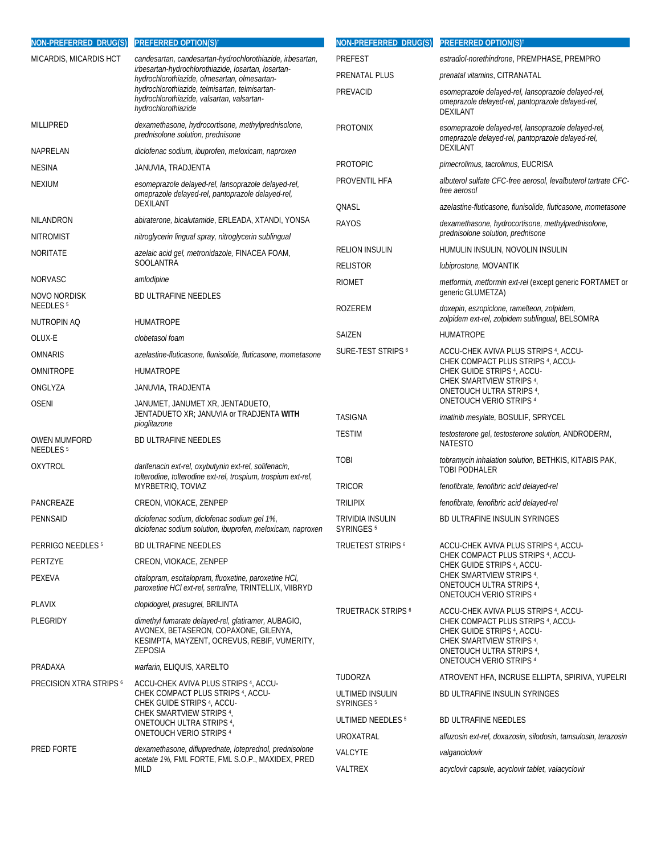| NON-PREFERRED DRUG(S)                             | <b>PREFERRED OPTION(S)</b> <sup>t</sup>                                                                                                                                                                                                                                                 | NON-PREFERRED DRUG(S)                     | <b>PREFERRED OPTION(S)</b> †                                                                                                                                                                                                  |
|---------------------------------------------------|-----------------------------------------------------------------------------------------------------------------------------------------------------------------------------------------------------------------------------------------------------------------------------------------|-------------------------------------------|-------------------------------------------------------------------------------------------------------------------------------------------------------------------------------------------------------------------------------|
| MICARDIS, MICARDIS HCT                            | candesartan, candesartan-hydrochlorothiazide, irbesartan,<br>irbesartan-hydrochlorothiazide, losartan, losartan-<br>hydrochlorothiazide, olmesartan, olmesartan-<br>hydrochlorothiazide, telmisartan, telmisartan-<br>hydrochlorothiazide, valsartan, valsartan-<br>hydrochlorothiazide | <b>PREFEST</b>                            | estradiol-norethindrone, PREMPHASE, PREMPRO                                                                                                                                                                                   |
|                                                   |                                                                                                                                                                                                                                                                                         | PRENATAL PLUS                             | prenatal vitamins, CITRANATAL                                                                                                                                                                                                 |
|                                                   |                                                                                                                                                                                                                                                                                         | PREVACID                                  | esomeprazole delayed-rel, lansoprazole delayed-rel,<br>omeprazole delayed-rel, pantoprazole delayed-rel,<br><b>DEXILANT</b>                                                                                                   |
| <b>MILLIPRED</b>                                  | dexamethasone, hydrocortisone, methylprednisolone,<br>prednisolone solution, prednisone                                                                                                                                                                                                 | <b>PROTONIX</b>                           | esomeprazole delayed-rel, lansoprazole delayed-rel,<br>omeprazole delayed-rel, pantoprazole delayed-rel,                                                                                                                      |
| NAPRELAN                                          | diclofenac sodium, ibuprofen, meloxicam, naproxen                                                                                                                                                                                                                                       |                                           | <b>DEXILANT</b>                                                                                                                                                                                                               |
| <b>NESINA</b>                                     | JANUVIA, TRADJENTA                                                                                                                                                                                                                                                                      | <b>PROTOPIC</b>                           | pimecrolimus, tacrolimus, EUCRISA                                                                                                                                                                                             |
| <b>NEXIUM</b>                                     | esomeprazole delayed-rel, lansoprazole delayed-rel,<br>omeprazole delayed-rel, pantoprazole delayed-rel,<br>DEXILANT                                                                                                                                                                    | PROVENTIL HFA                             | albuterol sulfate CFC-free aerosol, levalbuterol tartrate CFC-<br>free aerosol                                                                                                                                                |
| NILANDRON                                         | abiraterone, bicalutamide, ERLEADA, XTANDI, YONSA                                                                                                                                                                                                                                       | QNASL                                     | azelastine-fluticasone, flunisolide, fluticasone, mometasone                                                                                                                                                                  |
| <b>NITROMIST</b>                                  | nitroglycerin lingual spray, nitroglycerin sublingual                                                                                                                                                                                                                                   | RAYOS                                     | dexamethasone, hydrocortisone, methylprednisolone,<br>prednisolone solution, prednisone                                                                                                                                       |
| NORITATE                                          | azelaic acid gel, metronidazole, FINACEA FOAM,                                                                                                                                                                                                                                          | <b>RELION INSULIN</b>                     | HUMULIN INSULIN, NOVOLIN INSULIN                                                                                                                                                                                              |
|                                                   | SOOLANTRA                                                                                                                                                                                                                                                                               | <b>RELISTOR</b>                           | lubiprostone, MOVANTIK                                                                                                                                                                                                        |
| <b>NORVASC</b>                                    | amlodipine                                                                                                                                                                                                                                                                              | <b>RIOMET</b>                             | metformin, metformin ext-rel (except generic FORTAMET or                                                                                                                                                                      |
| NOVO NORDISK<br><b>NEEDLES<sup>5</sup></b>        | <b>BD ULTRAFINE NEEDLES</b>                                                                                                                                                                                                                                                             | ROZEREM                                   | generic GLUMETZA)<br>doxepin, eszopiclone, ramelteon, zolpidem,                                                                                                                                                               |
| NUTROPIN AQ                                       | <b>HUMATROPE</b>                                                                                                                                                                                                                                                                        |                                           | zolpidem ext-rel, zolpidem sublingual, BELSOMRA                                                                                                                                                                               |
| OLUX-E                                            | clobetasol foam                                                                                                                                                                                                                                                                         | SAIZEN                                    | <b>HUMATROPE</b>                                                                                                                                                                                                              |
| <b>OMNARIS</b>                                    | azelastine-fluticasone, flunisolide, fluticasone, mometasone                                                                                                                                                                                                                            | SURE-TEST STRIPS 6                        | ACCU-CHEK AVIVA PLUS STRIPS <sup>4</sup> , ACCU-<br>CHEK COMPACT PLUS STRIPS <sup>4</sup> , ACCU-<br>CHEK GUIDE STRIPS 4, ACCU-<br>CHEK SMARTVIEW STRIPS 4,<br>ONETOUCH ULTRA STRIPS 4,<br>ONETOUCH VERIO STRIPS <sup>4</sup> |
| <b>OMNITROPE</b>                                  | <b>HUMATROPE</b>                                                                                                                                                                                                                                                                        |                                           |                                                                                                                                                                                                                               |
| ONGLYZA                                           | JANUVIA, TRADJENTA                                                                                                                                                                                                                                                                      |                                           |                                                                                                                                                                                                                               |
| <b>OSENI</b>                                      | JANUMET, JANUMET XR, JENTADUETO,<br>JENTADUETO XR; JANUVIA or TRADJENTA WITH<br>pioglitazone                                                                                                                                                                                            | <b>TASIGNA</b>                            | imatinib mesylate, BOSULIF, SPRYCEL                                                                                                                                                                                           |
| <b>OWEN MUMFORD</b><br><b>NEEDLES<sup>5</sup></b> | BD ULTRAFINE NEEDLES                                                                                                                                                                                                                                                                    | <b>TESTIM</b>                             | testosterone gel, testosterone solution, ANDRODERM,<br><b>NATESTO</b>                                                                                                                                                         |
| <b>OXYTROL</b>                                    | darifenacin ext-rel, oxybutynin ext-rel, solifenacin,<br>tolterodine, tolterodine ext-rel, trospium, trospium ext-rel,                                                                                                                                                                  | <b>TOBI</b>                               | tobramycin inhalation solution, BETHKIS, KITABIS PAK,<br>TOBI PODHALER                                                                                                                                                        |
|                                                   | MYRBETRIQ, TOVIAZ                                                                                                                                                                                                                                                                       | <b>TRICOR</b>                             | fenofibrate, fenofibric acid delayed-rel                                                                                                                                                                                      |
| PANCREAZE                                         | CREON, VIOKACE, ZENPEP                                                                                                                                                                                                                                                                  | <b>TRILIPIX</b>                           | fenofibrate, fenofibric acid delayed-rel                                                                                                                                                                                      |
| PENNSAID                                          | diclofenac sodium, diclofenac sodium gel 1%,<br>diclofenac sodium solution, ibuprofen, meloxicam, naproxen                                                                                                                                                                              | TRIVIDIA INSULIN<br>SYRINGES <sup>5</sup> | BD ULTRAFINE INSULIN SYRINGES                                                                                                                                                                                                 |
| PERRIGO NEEDLES <sup>5</sup>                      | <b>BD ULTRAFINE NEEDLES</b>                                                                                                                                                                                                                                                             | <b>TRUETEST STRIPS 6</b>                  | ACCU-CHEK AVIVA PLUS STRIPS <sup>4</sup> , ACCU-<br>CHEK COMPACT PLUS STRIPS 4, ACCU-<br>CHEK GUIDE STRIPS 4, ACCU-<br>CHEK SMARTVIEW STRIPS 4,<br>ONETOUCH ULTRA STRIPS 4,<br>ONETOUCH VERIO STRIPS 4                        |
| PERTZYE                                           | CREON, VIOKACE, ZENPEP                                                                                                                                                                                                                                                                  |                                           |                                                                                                                                                                                                                               |
| PEXEVA                                            | citalopram, escitalopram, fluoxetine, paroxetine HCI,<br>paroxetine HCl ext-rel, sertraline, TRINTELLIX, VIIBRYD                                                                                                                                                                        |                                           |                                                                                                                                                                                                                               |
| PLAVIX                                            | clopidogrel, prasugrel, BRILINTA                                                                                                                                                                                                                                                        | <b>TRUETRACK STRIPS 6</b>                 | ACCU-CHEK AVIVA PLUS STRIPS 4, ACCU-<br>CHEK COMPACT PLUS STRIPS 4, ACCU-<br>CHEK GUIDE STRIPS 4, ACCU-<br>CHEK SMARTVIEW STRIPS 4,<br>ONETOUCH ULTRA STRIPS 4,<br>ONETOUCH VERIO STRIPS 4                                    |
| PLEGRIDY                                          | dimethyl fumarate delayed-rel, glatiramer, AUBAGIO,<br>AVONEX, BETASERON, COPAXONE, GILENYA,<br>KESIMPTA, MAYZENT, OCREVUS, REBIF, VUMERITY,<br>ZEPOSIA                                                                                                                                 |                                           |                                                                                                                                                                                                                               |
| PRADAXA                                           | warfarin, ELIQUIS, XARELTO                                                                                                                                                                                                                                                              | TUDORZA                                   | ATROVENT HFA, INCRUSE ELLIPTA, SPIRIVA, YUPELRI                                                                                                                                                                               |
| <b>PRECISION XTRA STRIPS 6</b>                    | ACCU-CHEK AVIVA PLUS STRIPS <sup>4</sup> , ACCU-<br>CHEK COMPACT PLUS STRIPS <sup>4</sup> , ACCU-<br>CHEK GUIDE STRIPS 4, ACCU-<br>CHEK SMARTVIEW STRIPS 4,<br>ONETOUCH ULTRA STRIPS 4,<br><b>ONETOUCH VERIO STRIPS 4</b>                                                               | ULTIMED INSULIN<br>SYRINGES <sup>5</sup>  | BD ULTRAFINE INSULIN SYRINGES                                                                                                                                                                                                 |
|                                                   |                                                                                                                                                                                                                                                                                         | ULTIMED NEEDLES <sup>5</sup>              | <b>BD ULTRAFINE NEEDLES</b>                                                                                                                                                                                                   |
|                                                   |                                                                                                                                                                                                                                                                                         | UROXATRAL                                 | alfuzosin ext-rel, doxazosin, silodosin, tamsulosin, terazosin                                                                                                                                                                |
| PRED FORTE                                        | dexamethasone, difluprednate, loteprednol, prednisolone<br>acetate 1%, FML FORTE, FML S.O.P., MAXIDEX, PRED<br>MILD                                                                                                                                                                     | <b>VALCYTE</b><br>VALTREX                 | valganciclovir<br>acyclovir capsule, acyclovir tablet, valacyclovir                                                                                                                                                           |
|                                                   |                                                                                                                                                                                                                                                                                         |                                           |                                                                                                                                                                                                                               |